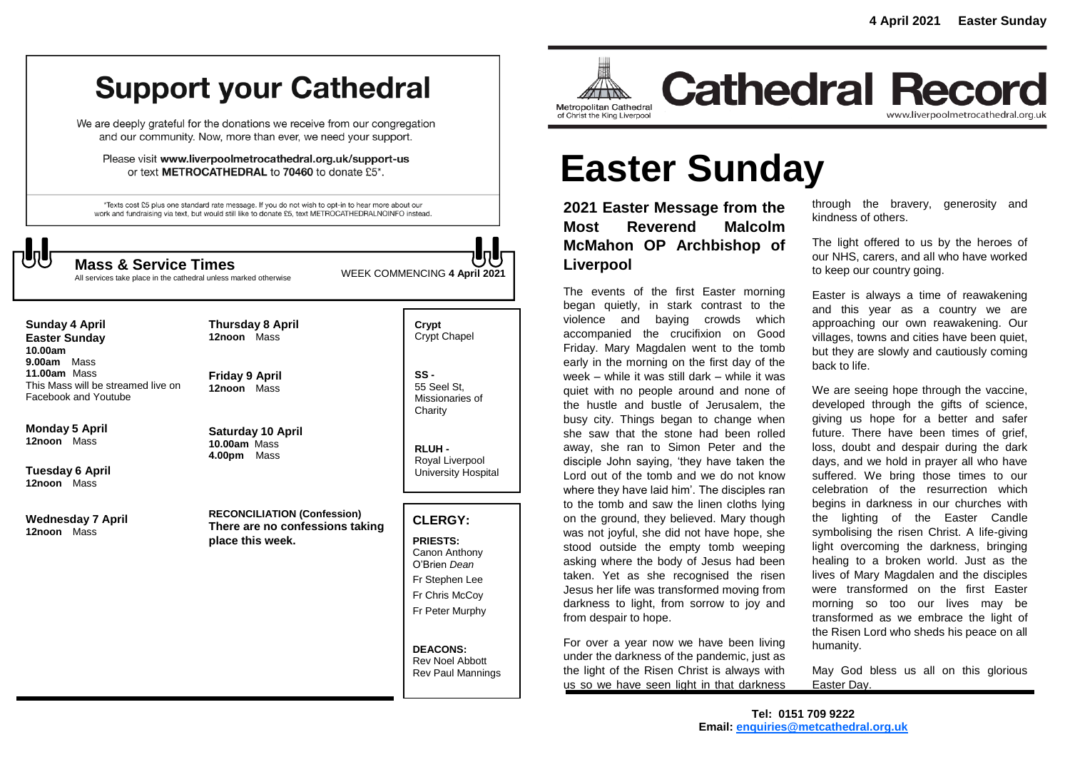# **Support your Cathedral**

We are deeply grateful for the donations we receive from our congregation and our community. Now, more than ever, we need your support.

Please visit www.liverpoolmetrocathedral.org.uk/support-us or text METROCATHEDRAL to 70460 to donate £5\*.

\*Texts cost £5 plus one standard rate message. If you do not wish to opt-in to hear more about our work and fundraising via text, but would still like to donate £5, text METROCATHEDRALNOINFO instead.

All services take place in the cathedral unless marked otherwise

WEEK COMMENCING **4 April <sup>2021</sup> Mass & Service Times**

| <b>Sunday 4 April</b>              |
|------------------------------------|
| <b>Easter Sunday</b>               |
| 10.00am                            |
| 9.00am Mass                        |
| 11.00am Mass                       |
| This Mass will be streamed live on |
| Facebook and Youtube               |

**Monday 5 April 12noon** Mass

**Tuesday 6 April 12noon** Mass

**Wednesday 7 April 12noon** Mass

**12noon** Mass **Saturday 10 April**

**Friday 9 April**

**Thursday 8 April 12noon** Mass

**10.00am** Mass **4.00pm** Mass

**RECONCILIATION (Confession) There are no confessions taking place this week.**

**Crypt**  Crypt Chapel

**SS -** 55 Seel St, Missionaries of **Charity** 

**RLUH -** Royal Liverpool University Hospital

### **CLERGY:**

**PRIESTS:** Canon Anthony O'Brien *Dean* Fr Stephen Lee Fr Chris McCoy Fr Peter Murphy

**DEACONS:** Rev Noel Abbott Rev Paul Mannings



**Cathedral Record** www.liverpoolmetrocathedral.org.uk

# **Easter Sunday**

**2021 Easter Message from the Most Reverend Malcolm McMahon OP Archbishop of Liverpool** 

The events of the first Easter morning began quietly, in stark contrast to the violence and baying crowds which accompanied the crucifixion on Good Friday. Mary Magdalen went to the tomb early in the morning on the first day of the week – while it was still dark – while it was quiet with no people around and none of the hustle and bustle of Jerusalem, the busy city. Things began to change when she saw that the stone had been rolled away, she ran to Simon Peter and the disciple John saying, 'they have taken the Lord out of the tomb and we do not know where they have laid him'. The disciples ran to the tomb and saw the linen cloths lying on the ground, they believed. Mary though was not joyful, she did not have hope, she stood outside the empty tomb weeping asking where the body of Jesus had been taken. Yet as she recognised the risen Jesus her life was transformed moving from darkness to light, from sorrow to joy and from despair to hope.

For over a year now we have been living under the darkness of the pandemic, just as the light of the Risen Christ is always with us so we have seen light in that darkness

through the bravery, generosity and kindness of others.

The light offered to us by the heroes of our NHS, carers, and all who have worked to keep our country going.

Easter is always a time of reawakening and this year as a country we are approaching our own reawakening. Our villages, towns and cities have been quiet, but they are slowly and cautiously coming back to life.

We are seeing hope through the vaccine, developed through the gifts of science, giving us hope for a better and safer future. There have been times of grief. loss, doubt and despair during the dark days, and we hold in prayer all who have suffered. We bring those times to our celebration of the resurrection which begins in darkness in our churches with the lighting of the Easter Candle symbolising the risen Christ. A life-giving light overcoming the darkness, bringing healing to a broken world. Just as the lives of Mary Magdalen and the disciples were transformed on the first Easter morning so too our lives may be transformed as we embrace the light of the Risen Lord who sheds his peace on all humanity.

May God bless us all on this glorious Easter Day.